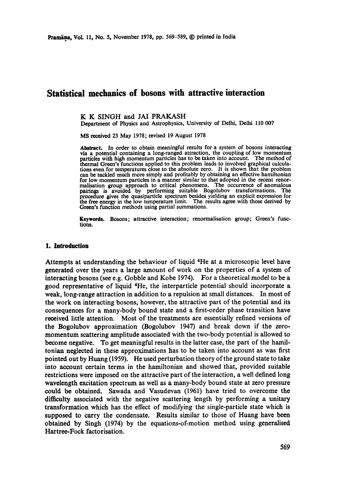# **Statistical mechanics of bosons with attractive interaction**

## K K SINGH and JAI PRAKASH

Department of Physics and Astrophysics, University of Delhi, Delhi 110 007

MS received 23 May 1978; revised 19 August 1978

Abstract. In order to obtain meaningful results for a system of bosons interacting via a potential containing a long-ranged attraction, the coupling of low momentum particles with high momentum particles has to be taken into account. The method of thermal Green's functions applied to this problem leads to involved graphical calcula-tions even for temperatures close to the absolute zero. It is shown that the problem can be tackled much more simply and profitably by obtaining an effective hamiltonian for low momentum particles in a manner similar to that adopted in the recent renormalisation group approach to critical phenomena. The occurrence of anomalous pairings is avoided by performing suitable Bogolubov transformations. The procedure gives the quasipartiele spectrum besides yielding an explicit expression for the free energy in the low temperature limit. The results agree with those derived by Green's function methods using partial summations.

Keywords. Bosons; attractive interaction; renormalisation group; Green's functions.

# **1. Introduction**

Attempts at understanding the behaviour of liquid <sup>4</sup>He at a microscopic level have generated over the years a large amount of work on the properties of a system of interacting bosons (see e.g. Gobble and Kobe 1974). For a theoretical model to be a good representative of liquid 4He, the interparticle potential should incorporate a weak, long-range attraction in addition to a repulsion at small distances. In most of the work on interacting bosons, however, the attractive part of the potential and its consequences for a many-body bound state and a first-order phase transition have received little attention. Most of the treatments are essentially refined versions of the Bogolubov approximation (Bogolubov 1947) and break down if the zeromomentum scattering amplitude associated with the two-body potential is allowed to become negative. To get meaningful results in the latter case, the part of the hamiltonian neglected in these approximations has to be taken into account as was first pointed out by Huang (1959). He used perturbation theory of the ground state to take into account certain terms in the hamiltonian and showed that, provided suitable restrictions were imposed on the attractive part of the interaction, a well defined long wavelength excitation spectrum as well as a many-body bound state at zero pressure could be obtained. Sawada and Vasudevan (1961) have tried to overcome the difficulty associated with the negative scattering length by performing a unitary transformation which has the effect of modifying the single-particle state which is supposed to carry the condensate. Results similar to those of Huang have been obtained by Singh (1974) by the equations-of-motion method using generalised Hartree-Fock factorisation.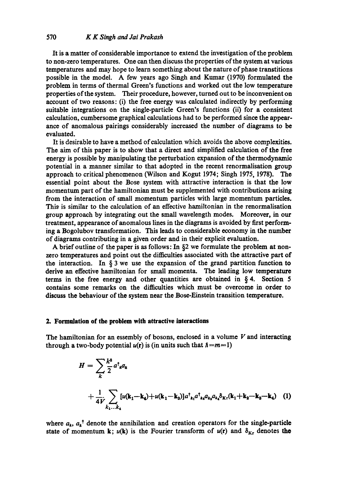It is a matter of considerable importance to extend the investigation of the problem to non-zero temperatures. One can then discuss the properties of the system at various temperatures and may hope to learn something about the nature of phase transtitions possible in the model. A few years ago Singh and Kumar (1970) formulated the problem in terms of thermal Green's functions and worked out the low temperature properties of the system. Their procedure, however, turned out to be inconvenient on account of two reasons: (i) the free energy was calculated indirectly by performing suitable integrations on the single-particle Green's functions (ii) for a consistent calculation, cumbersome graphical calculations had to be performed since the appearance of anomalous pairings considerably increased the number of diagrams to be evaluated.

It is desirable to have a method of calculation which avoids the above complexities. The aim of this paper is to show that a direct and simplified calculation of the free energy is possible by manipulating the perturbation expansion of the thermodynamic potential in a manner similar to that adopted in the recent renormalisation group approach to critical phenomenon (Wilson and Kogut 1974; Singh 1975, 1978). The essential point about the Bose system with attractive interaction is that the low momentum part of the hamiltonian must be supplemented with contributions arising from the interaction of small momentum particles with large momentum particles. This is similar to the calculation of an effective hamiltonian in the renormalisation group approach by integrating out the small wavelength modes. Moreover, in our treatment, appearance of anomalous lines in the diagrams is avoided by first performing a Bogolubov transformation. This leads to considerable economy in the number of diagrams contributing in a given order and in their explicit evaluation.

A brief outline of the paper is as follows: In §2 we formulate the problem at nonzero temperatures and point out the difficulties associated with the attractive part of the interaction. In  $\S$  3 we use the expansion of the grand partition function to derive an effective hamiltonian for small momenta. The leading low temperature terms in the free energy and other quantities are obtained in  $\S 4$ . Section 5 contains some remarks on the difficulties which must be overcome in order to **discuss** the behaviour of the system near the Bose-Einstein transition temperature.

## **2. Formulation of the problem with attractive interactions**

The hamiltonian for an essembly of bosons, enclosed in a volume  $V$  and interacting through a two-body potential  $u(r)$  is (in units such that  $\hbar = m = 1$ )

$$
H = \sum_{k} \frac{k^2}{2} a^{\dagger}_{k} a_{k}
$$
  
+  $\frac{1}{4V} \sum_{k_1...k_4} [u(\mathbf{k}_1 - \mathbf{k}_4) + u(\mathbf{k}_1 - \mathbf{k}_3)] a^{\dagger}_{k_1} a^{\dagger}_{k_2} a_{k_3} a_{k_4} \delta_{K}(\mathbf{k}_1 + \mathbf{k}_2 - \mathbf{k}_3 - \mathbf{k}_4)$  (1)

where  $a_k$ ,  $a_k^{\dagger}$  denote the annihilation and creation operators for the single-particle state of momentum k;  $u(k)$  is the Fourier transform of  $u(r)$  and  $\delta_{Kr}$  denotes the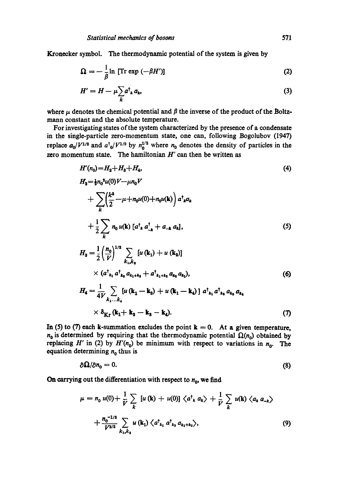Kronecker symbol. The thermodynamic potential of the system is given by

$$
\Omega = -\frac{1}{\beta} \ln \left[ \text{Tr} \exp \left( -\beta H' \right) \right] \tag{2}
$$

$$
H' = H - \mu \sum_{k} a^{\dagger}_{k} a_{k}, \tag{3}
$$

where  $\mu$  denotes the chemical potential and  $\beta$  the inverse of the product of the Boltzmann constant and the absolute temperature.

For investigating states of the system characterized by the presence of a condensate in the single-particle zero-momentum state, one can, following Bogolubov (1947) replace  $a_0/V^{1/2}$  and  $a_0^{\dagger}/V^{1/2}$  by  $n_0^{1/2}$  where  $n_0$  denotes the density of particles in the zero momentum state. The hamiltonian *H'* can then be written as

$$
H'(n_0) = H_2 + H_3 + H_4,
$$
\n(4)  
\n
$$
H_2 = \frac{1}{2}n_0^2 u(0)V - \mu n_0 V
$$
\n
$$
+ \sum_{k} \left(\frac{k^2}{2} - \mu + n_0 u(0) + n_0 u(k)\right) a^{\dagger} k a_k
$$
\n
$$
+ \frac{1}{2} \sum_{k} n_0 u(k) \left[a^{\dagger} k a^{\dagger} + a_{-k} a_k\right],
$$
\n(5)  
\n
$$
H_3 = \frac{1}{2} \left(\frac{n_0}{V}\right)^{1/2} \sum_{k_1, k_3} \left[u(k_1) + u(k_2)\right]
$$
\n
$$
\times \left(a^{\dagger} k_1 a^{\dagger} k_3 a_{k_1 + k_3} + a^{\dagger} k_1 + k_3 a_{k_3} a_{k_1}\right),
$$
\n(6)

$$
H_4 = \frac{1}{4V} \sum_{k_1...k_4} \left[ u \left( \mathbf{k}_1 - \mathbf{k}_3 \right) + u \left( \mathbf{k}_1 - \mathbf{k}_4 \right) \right] a_{k_1}^{\dagger} a_{k_2}^{\dagger} a_{k_3} a_{k_4}
$$

$$
\times \delta_{\mathrm{Kr}} \left( \mathbf{k}_1 + \mathbf{k}_2 - \mathbf{k}_3 - \mathbf{k}_4 \right). \tag{7}
$$

In (5) to (7) each k-summation excludes the point  $k = 0$ . At a given temperature,  $n_0$  is determined by requiring that the thermodynamic potential  $\Omega(n_0)$  obtained by replacing H' in (2) by  $H'(n_0)$  be minimum with respect to variations in  $n_0$ . The equation determining  $n_0$  thus is

$$
\partial \Omega / \partial n_0 = 0. \tag{8}
$$

On carrying out the differentiation with respect to  $n_0$ , we find

$$
\mu = n_0 u(0) + \frac{1}{V} \sum_{k} [u(\mathbf{k}) + u(0)] \langle a^{\dagger}_{k} a_{k} \rangle + \frac{1}{V} \sum_{k} u(\mathbf{k}) \langle a_{k} a_{-k} \rangle
$$
  
+ 
$$
\frac{n_0^{-1/2}}{V^{3/2}} \sum_{k_1, k_2} u(\mathbf{k}_1) \langle a^{\dagger}_{k_1} a^{\dagger}_{k_2} a_{k_1 + k_2} \rangle,
$$
 (9)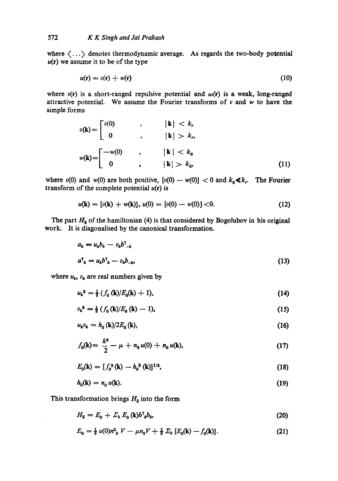where  $\langle \ldots \rangle$  denotes thermodynamic average. As regards the two-body potential  $u(r)$  we assume it to be of the type

$$
u(\mathbf{r}) = v(\mathbf{r}) + w(\mathbf{r}) \tag{10}
$$

where  $v(r)$  is a short-ranged repulsive potential and  $\omega(r)$  is a weak, long-ranged attractive potential. We assume the Fourier transforms of  $v$  and  $w$  to have the simple forms

$$
v(\mathbf{k}) = \begin{bmatrix} v(0) & 0 & |k| < k, \\ 0 & 0 & |k| > k, \\ 0 & 0 & |k| > k, \end{bmatrix}
$$
\n
$$
w(\mathbf{k}) = \begin{bmatrix} -w(0) & 0 & |k| < k_0 \\ 0 & 0 & |k| > k_0, \end{bmatrix} \tag{11}
$$

where  $v(0)$  and  $w(0)$  are both positive,  $[v(0) - w(0)] < 0$  and  $k_0 \le k_r$ . The Fourier transform of the complete potential  $u(r)$  is

$$
u(\mathbf{k}) = [v(\mathbf{k}) + w(\mathbf{k})], u(0) = [v(0) - w(0)] < 0.
$$
 (12)

The part  $H_2$  of the hamiltonian (4) is that considered by Bogolubov in his original work. It is diagonalised by the canonical transformation.

$$
a_k = u_k b_k - v_k b^{\dagger}_{-k}
$$
  
\n
$$
a^{\dagger}_k = u_k b^{\dagger}_k - v_k b_{-k},
$$
\n(13)

where  $u_k$ ,  $v_k$  are real numbers given by

$$
u_k^2 = \frac{1}{2} \left( f_0 \left( k \right) / E_0(k) + 1 \right), \tag{14}
$$

$$
v_k^2 = \frac{1}{2} \left( f_0(\mathbf{k}) / E_0(\mathbf{k}) - 1 \right), \tag{15}
$$

$$
u_k v_k = h_0(\mathbf{k})/2E_0(\mathbf{k}),\tag{16}
$$

$$
f_0(\mathbf{k}) = \frac{k^2}{2} - \mu + n_0 u(0) + n_0 u(\mathbf{k}), \qquad (17)
$$

$$
E_0(\mathbf{k}) = [f_0^2(\mathbf{k}) - h_0^2(\mathbf{k})]^{1/2}, \tag{18}
$$

$$
h_0(\mathbf{k}) = n_0 u(\mathbf{k}).\tag{19}
$$

This transformation brings  $H_2$  into the form

$$
H_2 = E_0 + \Sigma_k E_0(\mathbf{k}) b^{\dagger}{}_{k} b_{k}, \qquad (20)
$$

$$
E_0 = \frac{1}{2} u(0) n^2_0 V - \mu n_0 V + \frac{1}{2} \Sigma_k [E_0(\mathbf{k}) - f_0(\mathbf{k})]. \tag{21}
$$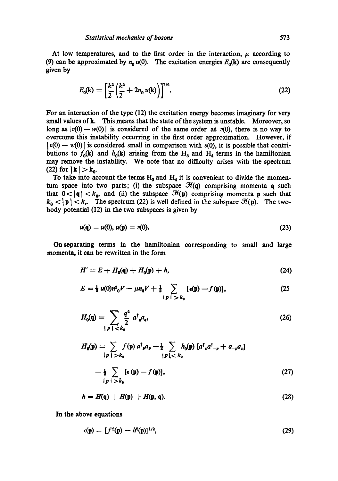At low temperatures, and to the first order in the interaction,  $\mu$  according to (9) can be approximated by  $n_0 u(0)$ . The excitation energies  $E_0(\mathbf{k})$  are consequently given **by** 

$$
E_0(\mathbf{k}) = \left[\frac{k^2}{2}\left(\frac{k^2}{2} + 2n_0 u(\mathbf{k})\right)\right]^{1/2}.
$$
 (22)

For an interaction of the type (12) the excitation energy becomes imaginary for very small values of k. This means that the state of the system is unstable. Moreover, so long as  $|v(0) - w(0)|$  is considered of the same order as  $v(0)$ , there is no way to overcome this instability occurring in the first order approximation. However, if  $|v(0) - w(0)|$  is considered small in comparison with  $v(0)$ , it is possible that contributions to  $f_0(\mathbf{k})$  and  $h_0(\mathbf{k})$  arising from the H<sub>3</sub> and H<sub>4</sub> terms in the hamiltonian may remove the instability. We note that no difficulty arises with the spectrum (22) for  $|{\bf k}| > k_0$ .

To take into account the terms  $H_3$  and  $H_4$  it is convenient to divide the momentum space into two parts; (i) the subspace  $H(q)$  comprising momenta q such that  $0 < |q| < k_0$ , and (ii) the subspace  $H(p)$  comprising momenta p such that  $k_0 < |p| < k_r$ . The spectrum (22) is well defined in the subspace  $\mathcal{H}(p)$ . The twobody potential (12) in the two subspaces is given by

$$
u(q) = u(0), u(p) = v(0). \tag{23}
$$

On separating terms in the hamiltonian corresponding to small and large momenta, it can be rewritten in the form

$$
H' = E + H_0(q) + H_0(p) + h,\tag{24}
$$

$$
E = \frac{1}{2} u(0) n^2 {}_0 V - \mu n {}_0 V + \frac{1}{2} \sum_{|p| > k_0} [e(p) - f(p)], \qquad (25)
$$

$$
H_0(q) = \sum_{\vert p \vert < k_0} \frac{q^2}{2} a^\dagger_{q} a_{q},\tag{26}
$$

$$
H_0(\mathbf{p}) = \sum_{\substack{\mathbf{p} \mid b \ b_0}} f(\mathbf{p}) a_{\mathbf{p}}^{\dagger} a_{\mathbf{p}} + \frac{1}{2} \sum_{\substack{\mathbf{p} \mid b_0 \ b_1 \neq b_0}} h_0(\mathbf{p}) [a_{\mathbf{p}}^{\dagger} a_{\mathbf{p}}^{\dagger} + a_{\mathbf{p}} a_{\mathbf{p}}] - \frac{1}{2} \sum_{\substack{\mathbf{p} \mid b_0 \ b_1 \neq b_2}} [e(\mathbf{p}) - f(\mathbf{p})], \tag{27}
$$

$$
h = H(q) + H(p) + H(p, q).
$$
 (28)

In the above equations

 $|p| > k_0$ 

$$
\epsilon(\mathbf{p}) = [f^2(\mathbf{p}) - h^2(\mathbf{p})]^{1/2}, \tag{29}
$$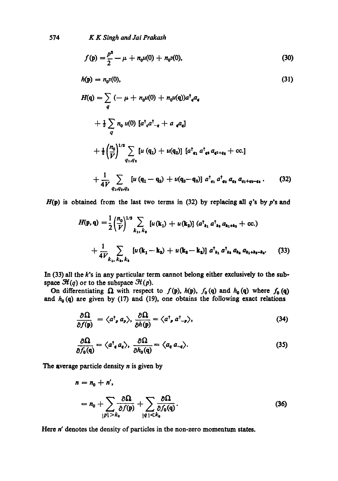$$
f(\mathbf{p}) = \frac{p^2}{2} - \mu + n_0 u(0) + n_0 v(0), \qquad (30)
$$

$$
h(\mathbf{p}) = n_0 v(0),
$$
\n
$$
H(\mathbf{q}) = \sum_{q} \left( -\mu + n_0 u(0) + n_0 u(\mathbf{q}) \right) a^{\dagger} a^{\dagger} a^{\dagger} a^{\dagger}
$$
\n
$$
+ \frac{1}{2} \sum_{q} n_0 u(0) \left[ a^{\dagger} a^{\dagger} - a + a \left( a^{\dagger} a \right) \right]
$$
\n
$$
+ \frac{1}{2} \left( \frac{n_0}{V} \right)^{1/2} \sum_{q_1, q_2} \left[ u \left( \mathbf{q}_1 \right) + u(\mathbf{q}_2) \right] \left[ a^{\dagger} a_1 a^{\dagger} a^{\dagger} a_1 + \text{cc.} \right]
$$
\n
$$
+ \frac{1}{4V} \sum_{q_1, q_2, q_3} \left[ u \left( \mathbf{q}_1 - \mathbf{q}_3 \right) + u(\mathbf{q}_3 - \mathbf{q}_2) \right] a^{\dagger} a_1 a^{\dagger} a_1 a_3 a_4 \dots \tag{32}
$$

 $H(p)$  is obtained from the last two terms in (32) by replacing all  $q$ 's by p's and

$$
H(\mathbf{p}, \mathbf{q}) = \frac{1}{2} \left( \frac{n_0}{V} \right)^{1/2} \sum_{k_1, k_2} \left[ u(\mathbf{k}_1) + u(\mathbf{k}_2) \right] \left( a_{k_1}^{\dagger} a_{k_2}^{\dagger} a_{k_1 + k_2} + \text{cc.} \right)
$$
  
+ 
$$
\frac{1}{4V} \sum_{k_1, k_2, k_3} \left[ u(\mathbf{k}_1 - \mathbf{k}_2) + u(\mathbf{k}_3 - \mathbf{k}_2) \right] a_{k_1}^{\dagger} a_{k_2}^{\dagger} a_{k_3}^{\dagger} a_{k_1 + k_2 + k_3}.
$$
 (33)

In  $(33)$  all the k's in any particular term cannot belong either exclusively to the subspace  $\mathcal{H}(q)$  or to the subspace  $\mathcal{H}(p)$ .

On differentiating  $\Omega$  with respect to  $f(\mathbf{p})$ ,  $h(\mathbf{p})$ ,  $f_0(\mathbf{q})$  and  $h_0(\mathbf{q})$  where  $f_0(\mathbf{q})$ and  $h_0(q)$  are given by (17) and (19), one obtains the following exact relations

$$
\frac{\partial \Omega}{\partial f(\mathbf{p})} = \langle a^{\dagger}_{\mathbf{p}} a_{\mathbf{p}} \rangle, \frac{\partial \Omega}{\partial h(\mathbf{p})} = \langle a^{\dagger}_{\mathbf{p}} a^{\dagger}_{-\mathbf{p}} \rangle, \tag{34}
$$

$$
\frac{\partial \Omega}{\partial f_0(\mathbf{q})} = \langle a^{\dagger}_{\mathbf{q}} a_{\mathbf{q}} \rangle, \ \frac{\partial \Omega}{\partial h_0(\mathbf{q})} = \langle a_{\mathbf{q}} a_{-\mathbf{q}} \rangle. \tag{35}
$$

The average particle density  $n$  is given by

$$
n = n_0 + n',
$$
  
=  $n_0 + \sum_{\substack{p \mid p \mid > k_0}} \frac{\partial \Omega}{\partial f(p)} + \sum_{\substack{q \mid q \mid < k_0}} \frac{\partial \Omega}{\partial f_q(q)}.$  (36)

Here n' denotes the density of particles in the non-zero momentum states.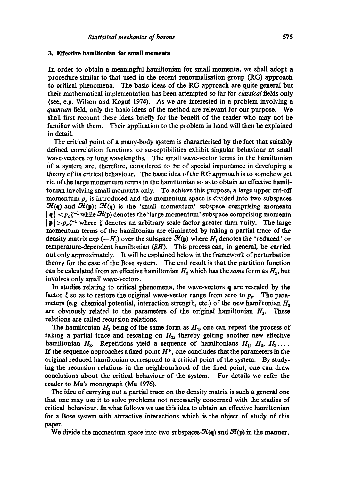#### **3. Effective hamiitonlan for small momenta**

In order to obtain a meaningful hamiltonian for small momenta, we shall adopt a procedure similar to that used in the recent renormalisation group (RG) approach to critical phenomena. The basic ideas of the RG approach are quite general but their mathematical implementation has been attempted so far for *classical* fields only (see, e.g. Wilson and Kogut 1974). As we are interested in a problem involving a *quantum* field, only the basic ideas of the method are relevant for our purpose. We shall first recount these ideas briefly for the benefit of the reader who may not be familiar with them. Their application to the problem in hand will then be explained in detail.

The critical point of a many-body system is characterised by the fact that suitably defined correlation functions or susceptibilities exhibit singular behaviour at small wave-vectors or long wavelengths. The small wave-vector terms in the hamiltonian Of a system are, therefore, considered to be of special importance in developing a theory of its critical behaviour. The basic idea of the RG approach is to somehow get rid of the large momentum terms in the hamiltonian so as to obtain an effective hamiltonian involving small momenta only. To achieve this purpose, a large upper cut-off momentum  $p<sub>c</sub>$  is introduced and the momentum space is divided into two subspaces  $H(q)$  and  $H(p)$ ;  $H(q)$  is the 'small momentum' subspace comprising momenta  $|q| < p_c \zeta^{-1}$  while  $\mathfrak{H}(p)$  denotes the 'large momentum' subspace comprising momenta  $|p| > p_c \zeta^{-1}$  where  $\zeta$  denotes an arbitrary scale factor greater than unity. The large momentum terms of the hamiltonian are eliminated by taking a partial trace of the density matrix exp  $(-H_1)$  over the subspace  $\mathcal{H}(\mathbf{p})$  where  $H_1$  denotes the 'reduced' or temperature-dependent hamiltonian  $(\beta H)$ . This process can, in general, be carried out only approximately. It will be explained below in the framework of perturbation theory for the case of the Bose system. The end result is that the partition function can be calculated from an effective hamiltonian  $H_2$  which has the *same* form as  $H_1$ , but involves only small wave-vectors.

In studies relating to critical phenomena, the wave-vectors q are rescaled by the factor  $\zeta$  so as to restore the original wave-vector range from zero to  $p_c$ . The parameters (e.g. chemical potential, interaction strength, etc.) of the new hamiltonian  $H_2$ are obviously related to the parameters of the original hamiltonian  $H_1$ . These relations are called recursion relations.

The hamiltonian  $H_2$  being of the same form as  $H_1$ , one can repeat the process of taking a partial trace and rescaling on  $H<sub>2</sub>$ , thereby getting another new effective hamiltonian  $H_3$ . Repetitions yield a sequence of hamiltonians  $H_1, H_2, H_3, \ldots$ If the sequence approaches a fixed point  $H^*$ , one concludes that the parameters in the original reduced hamiltonian correspond to a critical point of the system. By studying the recursion relations in the neighbourhood of the fixed point, one can draw conclusions about the critical behaviour of the system. For details we refer the reader to Ma's monograph (Ma 1976).

The idea of carrying out a partial trace on the density matrix is such a general one that one may use it to solve problems not necessarily concerned with the studies of critical bchaviour. In what follows we use this idea to obtain an effective hamiltonian for a Bose system with attractive interactions which is the object of study of this paper.

We divide the momentum space into two subspaces  $H(q)$  and  $H(p)$  in the manner,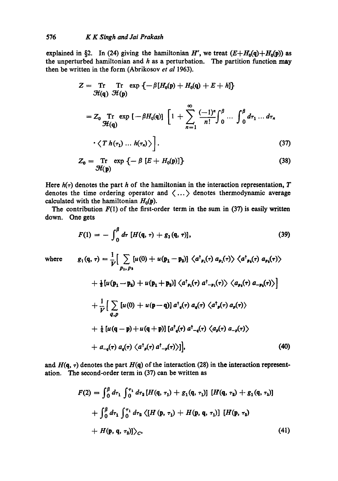explained in §2. In (24) giving the hamiltonian  $H'$ , we treat  $(E+H_0(q)+H_0(p))$  as the unperturbed hamiltonian and  $h$  as a perturbation. The partition function may then be written in the form (Abrikosov *et al* 1963).

$$
Z = \text{Tr} \quad \text{Tr} \quad \exp \left\{-\beta [H_0(\mathbf{p}) + H_0(\mathbf{q}) + E + h] \right\}
$$
  
\n
$$
= Z_0 \text{Tr} \exp \left\{-\beta H_0(\mathbf{q})\right\} \left[1 + \sum_{n=1}^{\infty} \frac{(-1)^n}{n!} \int_0^{\beta} \cdots \int_0^{\beta} d\tau_1 \cdots d\tau_n
$$
  
\n
$$
\cdot \langle T h(\tau_1) \ldots h(\tau_n) \rangle \right].
$$
 (37)

$$
Z_0 = \text{Tr} \exp \left\{-\beta \left[E + H_0(\mathbf{p})\right]\right\} \tag{38}
$$

Here  $h(\tau)$  denotes the part h of the hamiltonian in the interaction representation, T denotes the time ordering operator and  $\langle \ldots \rangle$  denotes thermodynamic average calculated with the hamiltonian  $H_0(\mathbf{p})$ .

The contribution  $F(1)$  of the first-order term in the sum in (37) is easily written down. One gets

$$
F(1) = -\int_0^\beta d\tau \, [H(\mathbf{q},\,\tau) + g_1(\mathbf{q},\,\tau)], \qquad (39)
$$

where 
$$
g_1(q, \tau) = \frac{1}{V} \Big[ \sum_{p_1, p_2} [u(0) + u(p_1 - p_2)] \langle a^{\dagger}_{p_1}(\tau) a_{p_1}(\tau) \rangle \langle a^{\dagger}_{p_2}(\tau) a_{p_2}(\tau) \rangle
$$
  
+ 
$$
\frac{1}{2} [u(p_1 - p_2) + u(p_1 + p_2)] \langle a^{\dagger}_{p_1}(\tau) a^{\dagger}_{-p_1}(\tau) \rangle \langle a_{p_2}(\tau) a_{-p_2}(\tau) \rangle \Big]
$$
  
+ 
$$
\frac{1}{V} \Big[ \sum_{q, p} [u(0) + u(p - q)] a^{\dagger}_{q}(\tau) a_{q}(\tau) \langle a^{\dagger}_{p}(\tau) a_{p}(\tau) \rangle
$$
  
+ 
$$
\frac{1}{4} [u(q - p) + u(q + p)] [a^{\dagger}_{q}(\tau) a^{\dagger}_{-q}(\tau) \langle a_{p}(\tau) a_{-p}(\tau) \rangle
$$
  
+ 
$$
a_{-q}(\tau) a_{q}(\tau) \langle a^{\dagger}_{p}(\tau) a^{\dagger}_{-p}(\tau) \rangle \Big], \qquad (40)
$$

and  $H(q, \tau)$  denotes the part  $H(q)$  of the interaction (28) in the interaction representation. The second-order term in (37) can be written as

$$
F(2) = \int_0^\beta d\tau_1 \int_0^{\tau_1} d\tau_2 [H(q, \tau_1) + g_1(q, \tau_1)] [H(q, \tau_2) + g_1(q, \tau_2)]
$$
  
+ 
$$
\int_0^\beta d\tau_1 \int_0^{\tau_1} d\tau_2 \langle [H(p, \tau_1) + H(p, q, \tau_1)] [H(p, \tau_2) + H(p, q, \tau_2)] \rangle_C,
$$
 (41)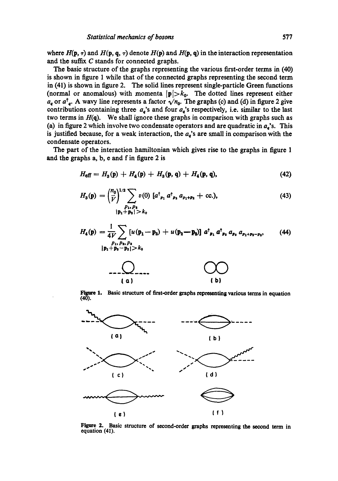where  $H(\mathbf{p}, \tau)$  and  $H(\mathbf{p}, \mathbf{q}, \tau)$  denote  $H(\mathbf{p})$  and  $H(\mathbf{p}, \mathbf{q})$  in the interaction representation and the suffix  $C$  stands for connected graphs.

The basic structure of the graphs representing the various first-order terms in (40) is shown in figure 1 while that of the connected graphs representing the second term in (41) is shown in figure 2. The solid lines represent single-particle Green functions (normal or anomalous) with momenta  $|p| > k_0$ . The dotted lines represent either  $a_q$  or  $a_{\overline{q}}$ . A wavy line represents a factor  $\sqrt{n_0}$ . The graphs (c) and (d) in figure 2 give contributions containing three *a,'s* and four *aq's* respectively, i.e. similar to the last two terms in  $H(q)$ . We shall ignore these graphs in comparison with graphs such as (a) in figure 2 which involve two condensate operators and are quadratic in  $a_a$ 's. This is justified because, for a weak interaction, the  $a_q$ 's are small in comparison with the condensate operators.

The part of the interaction hamiltonian which gives rise to the graphs in figure 1 and the graphs a, b, e and f in figure 2 is

$$
H_{\text{eff}} = H_{3}(\text{p}) + H_{4}(\text{p}) + H_{3}(\text{p}, \text{q}) + H_{4}(\text{p}, \text{q}), \qquad (42)
$$

$$
H_3(\mathbf{p}) = \left(\frac{n_0}{V}\right)^{1/2} \sum_{\substack{p_1, p_2 \\ p_1 + p_2 > k_0}} v(0) \left[a_{p_1}^{\dagger} a_{p_2}^{\dagger} a_{p_1 + p_2} + \text{cc.}\right),\tag{43}
$$

$$
H_4(\mathbf{p}) = \frac{1}{4V} \sum_{\substack{p_1, p_2, p_3 \\ p_1 + p_2 - p_3 \mid > k_0}} [u(\mathbf{p}_1 - \mathbf{p}_3) + u(\mathbf{p}_2 - \mathbf{p}_3)] \, a_{p_1}^{\dagger} a_{p_2}^{\dagger} a_{p_3}^{\dagger} a_{p_1 + p_2 - p_3}, \qquad (44)
$$



Figure 1. (40). Basic structure of first-order graphs representing various terms in equation



Figure 2. Basic structure of second-order graphs representing the second term in equation (41).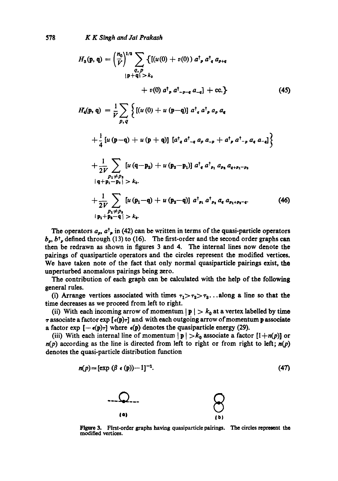$$
H_{2}(\mathbf{p}, \mathbf{q}) = \left(\frac{n_{0}}{V}\right)^{1/2} \sum_{q,p} \left\{ \left[ (u(0) + v(0)) a_{p}^{\dagger} a_{q}^{\dagger} a_{p+q} \right. \\ \left. + v(0) a_{p}^{\dagger} a_{q}^{\dagger} - p_{q} a_{-q} \right] + \text{c.c.} \right\} \tag{45}
$$
\n
$$
H_{4}(\mathbf{p}, \mathbf{q}) = \frac{1}{V} \sum_{p,q} \left\{ \left[ (u(0) + u(\mathbf{p}-\mathbf{q})) a_{q}^{\dagger} a_{q}^{\dagger} a_{p} a_{q} \right. \\ \left. + \frac{1}{4} \left[ u(\mathbf{p}-\mathbf{q}) + u(\mathbf{p}+\mathbf{q}) \right] \left[ a_{q}^{\dagger} a_{q}^{\dagger} a_{q} a_{p} a_{q} \right. \\ \left. + \frac{1}{2V} \sum_{p_{1} \neq p_{2}} \left[ u(\mathbf{q}-\mathbf{p}_{2}) + u(\mathbf{p}_{2}-\mathbf{p}_{1}) \right] a_{q}^{\dagger} a_{q}^{\dagger} a_{p} a_{q} a_{q+q} a_{q} a_{q} \right] \right\}
$$
\n
$$
+ \frac{1}{2V} \sum_{p_{1} \neq p_{2}} \left[ u(\mathbf{p}_{1}-\mathbf{q}) + u(\mathbf{p}_{2}-\mathbf{p}_{1}) \right] a_{q}^{\dagger} a_{q} a_{q} a_{q+q} a_{q+q-1} a_{q} a_{q} a_{p_{1}+p_{2}-q} \right. \tag{46}
$$
\n
$$
+ \frac{1}{2V} \sum_{p_{1} \neq p_{2}} \left[ u(\mathbf{p}_{1}-\mathbf{q}) + u(\mathbf{p}_{2}-\mathbf{q}) \right] a_{p_{1}}^{\dagger} a_{q} a_{q} a_{p_{1}+p_{2}-q} \tag{46}
$$

The operators  $a_p$ ,  $a_p^{\dagger}$  in (42) can be written in terms of the quasi-particle operators  $b_p$ ,  $b^{\dagger}$ , defined through (13) to (16). The first-order and the second order graphs can then be redrawn as shown in figures 3 and 4. The internal lines now denote the pairings of quasiparticle operators and the circles represent the modified vertices. We have taken note of the fact that only normal quasiparticle pairings exist, the unperturbed anomalous pairings being zero.

The contribution of each graph can be calculated with the help of the following general rules.

(i) Arrange vertices associated with times  $\tau_1 > \tau_2 > \tau_3$ ...along a line so that the time decreases as we proceed from left to right.

(ii) With each incoming arrow of momentum  $|\mathbf{p}| > k_0$  at a vertex labelled by time  $\tau$  associate a factor exp  $\lbrack \epsilon(p)\tau \rbrack$  and with each outgoing arrow of momentum p associate a factor exp  $[-\epsilon(p)\tau]$  where  $\epsilon(p)$  denotes the quasiparticle energy (29).

(iii) With each internal line of momentum  $|p| > k_0$  associate a factor  $[1+n(p)]$  or  $n(p)$  according as the line is directed from left to right or from right to left;  $n(p)$ denotes the quasi-particle distribution function

$$
n(p) = [\exp(\beta \epsilon(p)) - 1]^{-1}.
$$
 (47)



Figmre 3. First-order graphs having quasiparticle pairings. The circles represent the modified vertices.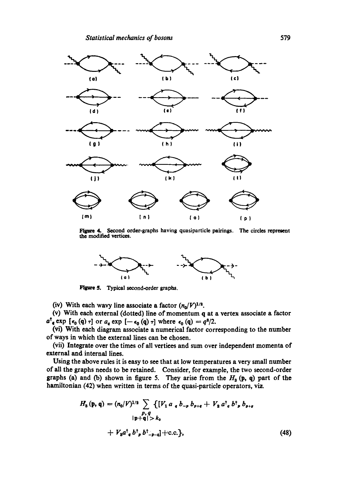

Figure 4. Second order-graphs having quasiparticle pairings. The circles represent the modified vertices.



Figure 5. Typical second-order graphs.

(iv) With each wavy line associate a factor  $(n_0/V)^{1/2}$ .

(v) With each external (dotted) line of momentum q at a vertex associate a factor  $a^{\dagger}_{\mathbf{q}} \exp [\epsilon_0 (\mathbf{q}) \tau]$  or  $a_{\mathbf{q}} \exp [-\epsilon_0 (\mathbf{q}) \tau]$  where  $\epsilon_0 (\mathbf{q}) = q^2/2$ .

(vi) With each diagram associate a numerical factor corresponding to the number of ways in which the external lines can be chosen.

(vii) Integrate over the times of all vertiees and sum over independent momenta of external and internal lines.

Using the above rules it is easy to see that at low temperatures a very small number of all the graphs needs to be retained. Consider, for example, the two second-order graphs (a) and (b) shown in figure 5. They arise from the  $H_3$  (p, q) part of the hamiltonian (42) when written in terms of the quasi-particle operators, viz.

$$
H_3(\mathbf{p}, \mathbf{q}) = (n_0/V)^{1/2} \sum_{p,q} \{ [V_1 a_q b_{-p} b_{p+q} + V_2 a_{q} b_{p} b_{p+q} |p+q| > k_0 + V_3 a_{q} b_{p} b_{-p-q} + c.c. \},
$$
 (48)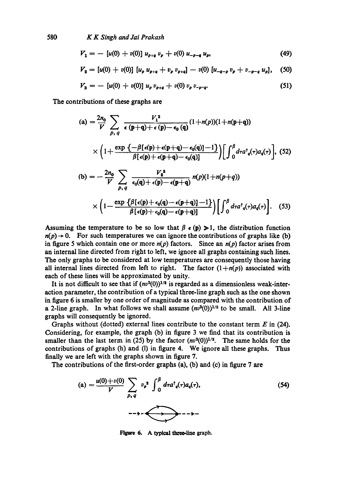580 *K K Singh and Jai Prakash* 

$$
V_1 = - [u(0) + v(0)] u_{p+q} v_p + v(0) u_{-p-q} u_p, \qquad (49)
$$

$$
V_2 = [u(0) + v(0)] [u_p u_{p+q} + v_p v_{p+q}] - v(0) [u_{-q-p} v_p + v_{-p-q} u_p], \quad (50)
$$

$$
V_3 = - [u(0) + v(0)] u_p v_{p+q} + v(0) v_p v_{-p-q}.
$$
 (51)

The contributions of these graphs are

(a) = 
$$
\frac{2n_0}{V}
$$
  $\sum_{p, q}$   $\frac{V_1^2}{\epsilon(p+q)+\epsilon(p)-\epsilon_0(q)} (1+n(p))(1+n(p+q))$   
\n $\times \left(1+\frac{\exp{\{-\beta[\epsilon(p)+\epsilon(p+q)-\epsilon_0(q)]-1\}}}{\beta[\epsilon(p)+\epsilon(p+q)-\epsilon_0(q)]}\right)\left[\int_0^\beta d\tau a^{\tau}{}_q(\tau)a_q(\tau)\right],$  (52)  
\n(b) =  $-\frac{2n_0}{V} \sum_{p,q}$   $\frac{V_2^2}{\epsilon_0(q)+\epsilon(p)-\epsilon(p+q)} n(p)(1+n(p+q))$   
\n $\times \left(1-\frac{\exp{\{\beta[\epsilon(p)+\epsilon_0(q)-\epsilon(p+q)]-1\}}}{\beta[\epsilon(p)+\epsilon_0(q)-\epsilon(p+q)]}\right)\left[\int_0^\beta d\tau a^{\tau}{}_q(\tau)a_q(\tau)\right].$  (53)

Assuming the temperature to be so low that  $\beta \in (p) \ge 1$ , the distribution function  $n(p) \rightarrow 0$ . For such temperatures we can ignore the contributions of graphs like (b) in figure 5 which contain one or more  $n(p)$  factors. Since an  $n(p)$  factor arises from an internal line directed from right to left, we ignore all graphs containing such lines. The only graphs to be considered at low temperatures are consequently those having all internal lines directed from left to right. The factor  $(1+n(p))$  associated with each of these lines will be approximated by unity.

It is not difficult to see that if  $(nv^3(0))^{1/2}$  is regarded as a dimensionless weak-interaction parameter, the contribution of a typical three-line graph such as the one shown in figure 6 is smaller by one order of magnitude as compared with the contribution of a 2-line graph. In what follows we shall assume  $(nv^3(0))^{1/2}$  to be small. All 3-line graphs will consequently be ignored,

Graphs without (dotted) external lines contribute to the constant term  $E$  in (24). Considering, for example, the graph (b) in figure 3 we find that its contribution is smaller than the last term in (25) by the factor  $(nv^3(0))^{1/2}$ . The same holds for the contributions of graphs (h) and (1) in figure 4. We ignore all these graphs. Thus finally we are left with the graphs shown in figure 7.

The contributions of the first-order graphs (a), (b) and (c) in figure 7 are

$$
\text{(a)} = \frac{u(0) + v(0)}{V} \sum_{p,q} v_p^2 \int_0^\beta d\tau a^\dagger \, d\tau \, d\tau \, d\tau \, d\tau \tag{54}
$$

Figure 6. A typical three-line graph.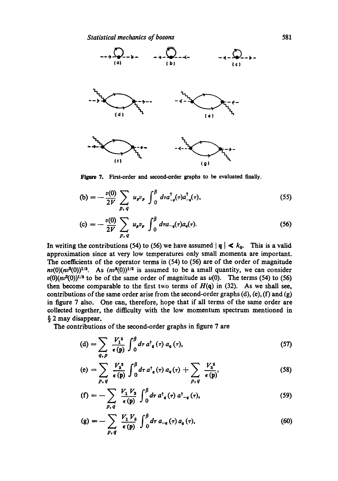*Statistical mechanics of bosons* 



Figure 7. First-order and second-order graphs to be evaluated finally.

(b) = 
$$
-\frac{v(0)}{2V} \sum_{p,q} u_p v_p \int_0^\beta d\tau a_{-q}^\dagger(\tau) a_{-q}^\dagger(\tau),
$$
 (55)

(c) = 
$$
-\frac{v(0)}{2V} \sum_{p,q} u_p v_p \int_0^\beta d\tau a_{-q}(\tau) a_q(\tau)
$$
. (56)

In writing the contributions (54) to (56) we have assumed  $| \mathbf{q} | < k_0$ . This is a valid approximation since at very low temperatures only small momenta are important. The coefficients of the operator terms in (54) to (56) are of the order of magnitude  $nv(0)(nv^{3}(0))^{1/2}$ . As  $(nv^{3}(0))^{1/2}$  is assumed to be a small quantity, we can consider  $v(0)(nv^{3}(0))^{1/2}$  to be of the same order of magnitude as  $u(0)$ . The terms (54) to (56) then become comparable to the first two terms of  $H(q)$  in (32). As we shall see, contributions of the same order arise from the second-order graphs (d), *(e), (f)* and (g) in figure 7 also. One can, therefore, hope that if all terms of the same order are collected together, the difficulty with the low momentum spectrum mentioned in § 2 may disappear.

The contributions of the second-order graphs in figure 7 are

(d) = 
$$
\sum_{q, p} \frac{V_1^2}{\epsilon(p)} \int_0^\beta d\tau \, a^{\dagger}{}_q(\tau) \, a_q(\tau),
$$
 (57)

(e) = 
$$
\sum_{p,q} \frac{V_3^2}{\epsilon(p)} \int_0^\beta dr \, a_{q}(\tau) \, a_q(\tau) + \sum_{p,q} \frac{V_3^2}{\epsilon(p)},
$$
 (58)

$$
(f) = -\sum_{p,\,q} \frac{V_1 \, V_3}{\epsilon(p)} \int_0^\beta d\tau \, a^{\dagger}_{\,q}(\tau) \, a^{\dagger}_{\,-q}(\tau), \tag{59}
$$

(g) = 
$$
-\sum_{p,q} \frac{V_1 V_3}{\epsilon(p)} \int_0^\beta d\tau \, a_{-q}(\tau) \, a_q(\tau), \tag{60}
$$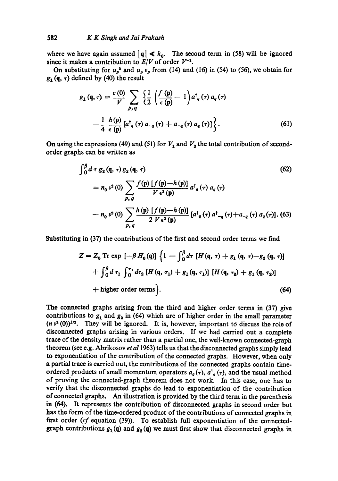where we have again assumed  $|q| \le k_0$ . The second term in (58) will be ignored since it makes a contribution to  $E/V$  of order  $V^{-1}$ .

On substituting for  $u_p^2$  and  $u_p v_p$  from (14) and (16) in (54) to (56), we obtain for  $g_1(q, \tau)$  defined by (40) the result

$$
g_1(q, \tau) = \frac{v(0)}{V} \sum_{p, q} \left\{ \frac{1}{2} \left( \frac{f(p)}{\epsilon(p)} - 1 \right) a^{\dagger}{}_q(\tau) a_q(\tau) - \frac{1}{4} \frac{h(p)}{\epsilon(p)} [a^{\dagger}{}_q(\tau) a_{-q}(\tau) + a_{-q}(\tau) a_q(\tau)] \right\}.
$$
 (61)

On using the expressions (49) and (51) for  $V_1$  and  $V_3$  the total contribution of secondorder graphs can be written as

$$
\int_{0}^{\beta} d \tau g_{2} (q, \tau) g_{2} (q, \tau)
$$
\n
$$
= n_{0} v^{2} (0) \sum_{P, q} \frac{f(p) [f(p) - h(p)]}{V \epsilon^{3} (p)} a^{\dagger}_{q} (\tau) a_{q} (\tau)
$$
\n
$$
- n_{0} v^{2} (0) \sum_{P, q} \frac{h(p) [f(p) - h(p)]}{2 V \epsilon^{3} (p)} [a^{\dagger}_{q} (\tau) a^{\dagger}_{-q} (\tau) + a_{-q} (\tau) a_{q} (\tau)].
$$
\n(63)

Substituting in (37) the contributions of the first and second order terms we find

$$
Z = Z_0 \text{ Tr } \exp \left[ -\beta H_0(q) \right] \left\{ 1 - \int_0^\beta d\tau \left[ H(q, \tau) + g_1(q, \tau) - g_2(q, \tau) \right] + \int_0^\beta d\tau_1 \int_0^{\tau_1} d\tau_2 \left[ H(q, \tau_1) + g_1(q, \tau_1) \right] \left[ H(q, \tau_2) + g_1(q, \tau_2) \right] + \text{higher order terms} \right\}. \tag{64}
$$

The connected graphs arising from the third and higher order terms in (37) give contributions to  $g_1$  and  $g_2$  in (64) which are of higher order in the small parameter  $(n v<sup>3</sup> (0))<sup>1/2</sup>$ . They will be ignored. It is, however, important to discuss the role of disconnected graphs arising in various orders. If we had carried out a complete trace of the density matrix rather than a partial one, the well-known connected-graph theorem (see e.g. Abrikosov *et a11963)* tells us that the disconnected graphs simply lead to exponentiation of the contribution of the connected graphs. However, when only a partial trace is carried out, the contributions of the connected graphs contain timeordered products of small momentum operators  $a_q(\tau)$ ,  $a_{q}(\tau)$ , and the usual method of proving the connected-graph theorem does not work. In this case, one has to verify that the disconnected graphs do lead to exponentiation of the contribution of connected graphs. An illustration is provided by the third term in the parenthesis in (64). It represents the contribution of disconnected graphs in second order but has the form of the time-ordered product of the contributions of connected graphs in first order *(ef* equation (39)). To establish full exponentiation of the connectedgraph contributions  $g_1(q)$  and  $g_2(q)$  we must first show that disconnected graphs in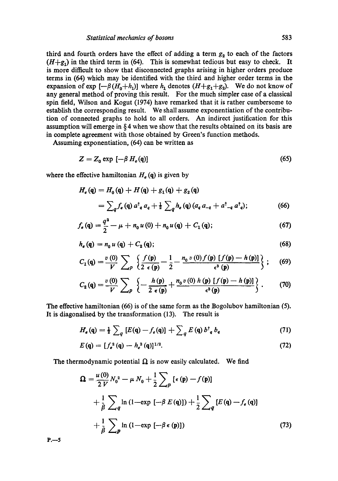third and fourth orders have the effect of adding a term  $g_2$  to each of the factors  $(H+g_1)$  in the third term in (64). This is somewhat tedious but easy to check. It is more difficult to show that disconnected graphs arising in higher orders produce terms in (64) which may be identified with the third and higher order terms in the expansion of exp  $[-\beta (H_0+h_1)]$  where  $h_1$  denotes  $(H+g_1+g_2)$ . We do not know of any general method of proving this result. For the much simpler case of a classical spin field, Wilson and Kogut (1974) have remarked that it is rather cumbersome to establish the corresponding result. We shall assume exponentiation of the contribution of connected graphs to hold to all orders. An indirect justification for this assumption will emerge in  $\S 4$  when we show that the results obtained on its basis are in complete agreement with those obtained by Green's function methods.

Assuming exponentiation, (64) can be written as

$$
Z = Z_0 \exp\left[-\beta H_e(q)\right] \tag{65}
$$

where the effective hamiltonian  $H_e$  (q) is given by

$$
H_e(\mathbf{q}) = H_0(\mathbf{q}) + H(\mathbf{q}) + g_1(\mathbf{q}) + g_2(\mathbf{q})
$$
  
=  $\sum_q f_e(\mathbf{q}) a^{\dagger}{}_q a_q + \frac{1}{2} \sum_q h_e(\mathbf{q}) (a_q a_{-q} + a^{\dagger}{}_{-q} a^{\dagger}{}_q);$  (66)

$$
f_e(\mathbf{q}) = \frac{q^2}{2} - \mu + n_0 u(0) + n_0 u(\mathbf{q}) + C_1(\mathbf{q});
$$
 (67)

$$
h_e(q) = n_0 u(q) + C_2(q); \qquad (68)
$$

$$
C_1(\mathbf{q}) = \frac{v(0)}{V} \sum_{p} \left\{ \frac{f(\mathbf{p})}{2 \epsilon(\mathbf{p})} - \frac{1}{2} - \frac{n_0 v(0) f(\mathbf{p}) \left[ f(\mathbf{p}) - h(\mathbf{p}) \right]}{\epsilon^3(\mathbf{p})} \right\};\tag{69}
$$

$$
C_2(q) = \frac{v(0)}{V} \sum_{p} \left\{ -\frac{h(p)}{2 \epsilon(p)} + \frac{n_0 v(0) h(p) [f(p) - h(p)]}{\epsilon^3(p)} \right\}.
$$
 (70)

The effective hamiltonian (66) is of the same form as the Bogolubov hamiltonian (5). It is diagonalised by the transformation (13). The result is

$$
H_e(\mathbf{q}) = \frac{1}{2} \sum_q [E(\mathbf{q}) - f_e(\mathbf{q})] + \sum_q E(\mathbf{q}) b^{\dagger}{}_q b_q \tag{71}
$$

$$
E(\mathbf{q}) = [f_e^2(\mathbf{q}) - h_e^2(\mathbf{q})]^{1/2}.
$$
 (72)

The thermodynamic potential  $\Omega$  is now easily calculated. We find

$$
\Omega = \frac{u(0)}{2 V} N_0^2 - \mu N_0 + \frac{1}{2} \sum_p [\epsilon(p) - f(p)]
$$
  
+  $\frac{1}{\beta} \sum_q \ln (1 - \exp [-\beta E(q)]) + \frac{1}{2} \sum_q [E(q) - f_e(q)]$   
+  $\frac{1}{\beta} \sum_p \ln (1 - \exp [-\beta \epsilon(p)])$  (73)

 $P - 5$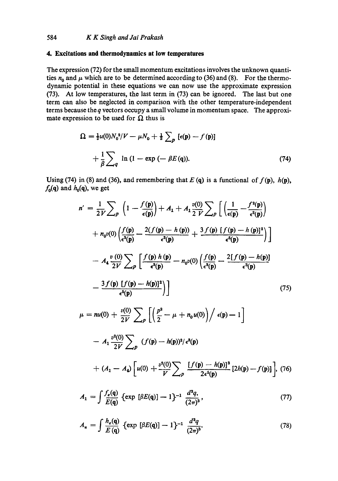# **4. Excitations and thermodynamics at low temperatures**

The expression (72) for the small momentum excitations involves the unknown quantities  $n_0$  and  $\mu$  which are to be determined according to (36) and (8). For the thermodynamic potential in these equations we can now use the approximate expression (73). At low temperatures, the last term in (73) can be ignored. The last but one term can also be neglected in comparison with the other temperature-independent terms because the  $q$  vectors occupy a small volume in momentum space. The approximate expression to be used for  $\Omega$  thus is

$$
\Omega = \frac{1}{2}u(0)N_0^2/V - \mu N_0 + \frac{1}{2}\sum_p [\epsilon(p) - f(p)]
$$
  
+  $\frac{1}{\beta}\sum_q \ln(1 - \exp(-\beta E(q)).$  (74)

Using (74) in (8) and (36), and remembering that  $E$  (q) is a functional of  $f(p)$ ,  $h(p)$ ,  $f_0(q)$  and  $h_0(q)$ , we get

$$
n' = \frac{1}{2V} \sum_{p} \left( 1 - \frac{f(p)}{\epsilon(p)} \right) + A_1 + A_1 \frac{v(0)}{2V} \sum_{p} \left[ \left( \frac{1}{\epsilon(p)} - \frac{f^2(p)}{\epsilon^2(p)} \right) + n_0 v(0) \left( \frac{f(p)}{\epsilon^3(p)} - \frac{2(f(p) - h(p))}{\epsilon^3(p)} + \frac{3f(p) \left[ f(p) - h(p) \right]^2}{\epsilon^5(p)} \right) \right]
$$
  

$$
- A_4 \frac{v(0)}{2V} \sum_{p} \left[ \frac{f(p) h(p)}{\epsilon^3(p)} - n_0 v(0) \left( \frac{f(p)}{\epsilon^3(p)} - \frac{2[f(p) - h(p)]}{\epsilon^3(p)} \right) \right]
$$
  

$$
- \frac{3f(p) \left[ f(p) - h(p) \right]^2}{\epsilon^5(p)} \right]
$$
  

$$
\mu = nu(0) + \frac{v(0)}{2V} \sum_{p} \left[ \left( \frac{p^2}{2} - \mu + n_0 u(0) \right) / \epsilon(p) - 1 \right]
$$
  

$$
- A_1 \frac{v^2(0)}{2V} \sum_{p} (f(p) - h(p))^2 / \epsilon^3(p)
$$
  

$$
+ (A_1 - A_4) \left[ u(0) + \frac{v^2(0)}{V} \sum_{p} \frac{[f(p) - h(p)]^3}{2\epsilon^5(p)} [2h(p) - f(p)] \right], (76)
$$

$$
A_1 = \int \frac{f_e(\mathbf{q})}{E(\mathbf{q})} \left\{ \exp \left[ \beta E(\mathbf{q}) \right] - 1 \right\}^{-1} \frac{d^3 q}{(2\pi)^3}, \tag{77}
$$

$$
A_u = \int \frac{h_e(\mathbf{q})}{E(\mathbf{q})} \left\{ \exp \left[ \beta E(\mathbf{q}) \right] - 1 \right\}^{-1} \frac{d^3 q}{(2\pi)^3}.
$$
 (78)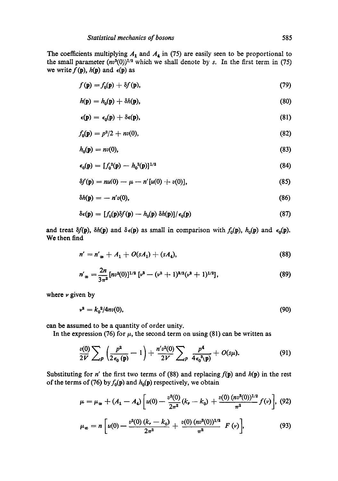# *Statistical mechanics of bosons* 585

The coefficients multiplying  $A_1$  and  $A_4$  in (75) are easily seen to be proportional to the small parameter  $(nv^3(0))^{1/2}$  which we shall denote by s. In the first term in (75) we write  $f(p)$ ,  $h(p)$  and  $\epsilon(p)$  as

$$
f(\mathbf{p}) = f_0(\mathbf{p}) + \delta f(\mathbf{p}),\tag{79}
$$

$$
h(\mathbf{p}) = h_0(\mathbf{p}) + \delta h(\mathbf{p}),\tag{80}
$$

$$
\epsilon(\mathbf{p}) = \epsilon_0(\mathbf{p}) + \delta \epsilon(\mathbf{p}), \tag{81}
$$

$$
f_0(\mathbf{p}) = p^2/2 + nv(0),\tag{82}
$$

$$
h_0(\mathbf{p}) = nv(0),\tag{83}
$$

$$
\epsilon_0(\mathbf{p}) = [f_0^2(\mathbf{p}) - h_0^2(\mathbf{p})]^{1/2} \tag{84}
$$

$$
\delta f(\mathbf{p}) = nu(0) - \mu - n'[u(0) + v(0)], \qquad (85)
$$

$$
\delta h(\mathbf{p}) = -n'v(0),\tag{86}
$$

$$
\delta \epsilon(\mathbf{p}) = [f_0(\mathbf{p}) \delta f(\mathbf{p}) - h_0(\mathbf{p}) \delta h(\mathbf{p})] / \epsilon_0(\mathbf{p})
$$
\n(87)

and treat  $\delta f(\mathbf{p})$ ,  $\delta h(\mathbf{p})$  and  $\delta \epsilon(\mathbf{p})$  as small in comparison with  $f_0(\mathbf{p})$ ,  $h_0(\mathbf{p})$  and  $\epsilon_0(\mathbf{p})$ . We then find

$$
n' = n'_{\infty} + A_1 + O(sA_1) + (sA_4),
$$
\n(88)

$$
n'_{\infty} = \frac{2n}{3\pi^2} [nv^3(0)]^{1/2} [v^3 - (v^2 + 1)^{3/2}(v^2 + 1)^{1/2}], \tag{89}
$$

where  $\nu$  given by

$$
\nu^2 = k_0^2 / 4nv(0),\tag{90}
$$

can be assumed to be a quantity of order unity.

In the expression (76) for  $\mu$ , the second term on using (81) can be written as

$$
\frac{v(0)}{2V}\sum_{p}\left(\frac{p^2}{2\epsilon_0\left(\mathbf{p}\right)}-1\right)+\frac{n'v^2(0)}{2V}\sum_{p}\frac{p^4}{4\epsilon_0^3(\mathbf{p})}+O(s\mu). \hspace{1.5cm} (91)
$$

Substituting for n' the first two terms of (88) and replacing  $f(\mathbf{p})$  and  $h(\mathbf{p})$  in the rest of the terms of (76) by  $f_0(\mathbf{p})$  and  $h_0(\mathbf{p})$  respectively, we obtain

$$
\mu = \mu_{\infty} + (A_1 - A_4) \left[ u(0) - \frac{v^2(0)}{2\pi^2} (k_r - k_0) + \frac{v(0) (nv^3(0))^{1/2}}{\pi^2} f(v) \right], (92)
$$

$$
\mu_{\infty} = n \left[ u(0) - \frac{v^2(0) (k_r - k_0)}{2\pi^2} + \frac{v(0) (nv^3(0))^{1/2}}{\pi^2} F(v) \right], \tag{93}
$$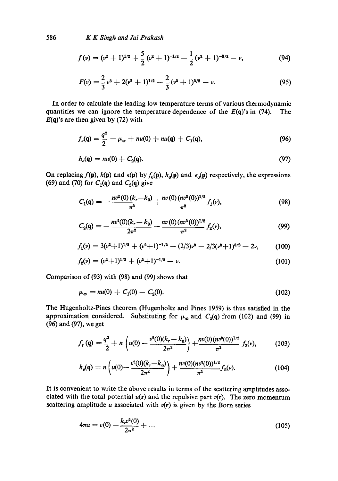586 *K K Singh and Jai Prakash* 

$$
f(\nu)=(\nu^2+1)^{1/2}+\frac{5}{2}(\nu^2+1)^{-1/2}-\frac{1}{2}(\nu^2+1)^{-3/2}-\nu,
$$
 (94)

$$
F(\nu) = \frac{2}{3}\nu^3 + 2(\nu^2 + 1)^{1/2} - \frac{2}{3}(\nu^2 + 1)^{3/2} - \nu.
$$
 (95)

In order to calculate the leading low temperature terms of various thermodynamic quantities we can ignore the temperature dependence of the  $E(q)$ 's in (74). The  $E(q)$ 's are then given by (72) with

$$
f_e(\mathbf{q}) = \frac{q^2}{2} - \mu_\infty + n u(0) + n u(\mathbf{q}) + C_1(\mathbf{q}), \qquad (96)
$$

$$
h_e(\mathbf{q}) = nu(0) + C_2(\mathbf{q}). \tag{97}
$$

On replacing  $f(\mathbf{p})$ ,  $h(\mathbf{p})$  and  $\epsilon(\mathbf{p})$  by  $f_0(\mathbf{p})$ ,  $h_0(\mathbf{p})$  and  $\epsilon_0(\mathbf{p})$  respectively, the expressions (69) and (70) for  $C_1(q)$  and  $C_2(q)$  give

$$
C_1(q) = -\frac{nv^2(0)(k_r - k_0)}{\pi^2} + \frac{nv(0)(nv^3(0))^{1/2}}{\pi^2} f_1(v),
$$
\n(98)

$$
C_2(q) = -\frac{nv^2(0)(k_r - k_0)}{2\pi^2} + \frac{nv(0)(nv^3(0))^{1/2}}{\pi^2}f_2(v),
$$
\n(99)

$$
f_1(\nu) = 3(\nu^2+1)^{1/2} + (\nu^2+1)^{-1/2} + (2/3)\nu^3 - 2/3(\nu^2+1)^{3/2} - 2\nu,
$$
 (100)

$$
f_2(v) = (v^2 + 1)^{1/2} + (v^2 + 1)^{-1/2} - v.
$$
 (101)

Comparison of (93) with (98) and (99) shows that

$$
\mu_{\infty} = nu(0) + C_1(0) - C_2(0). \tag{102}
$$

The Hugenholtz-Pines theorem (Hugenholtz and Pines 1959) is thus satisfied in the approximation considered. Substituting for  $\mu_{\infty}$  and  $C_2(q)$  from (102) and (99) in (96) and (97), we get

$$
f_e(\mathbf{q}) = \frac{q^2}{2} + n \left( u(0) - \frac{v^2(0)(k_r - k_0)}{2\pi^2} \right) + \frac{nv(0)(nv^3(0))^{1/2}}{\pi^2} f_2(\nu), \tag{103}
$$

$$
h_e(\mathbf{q}) = n \left( u(0) - \frac{v^2(0)(k_r - k_0)}{2\pi^2} \right) + \frac{nv(0)(nv^3(0))^{1/2}}{\pi^2} f_2(\nu).
$$
 (104)

It is convenient to write the above results in terms of the scattering amplitudes associated with the total potential  $u(\mathbf{r})$  and the repulsive part  $v(\mathbf{r})$ . The zero momentum scattering amplitude  $a$  associated with  $v(r)$  is given by the Born series

$$
4\pi a = v(0) - \frac{k_r v^2(0)}{2\pi^2} + \dots \tag{105}
$$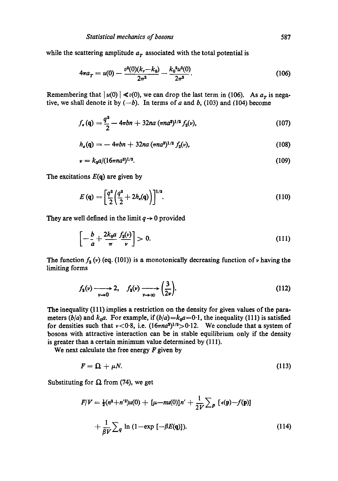while the scattering amplitude  $a_T$  associated with the total potential is

$$
4\pi a_T = u(0) - \frac{v^2(0)(k_r - k_0)}{2\pi^2} - \frac{k_0^2 u^2(0)}{2\pi^2}.
$$
 (106)

Remembering that  $|u(0)| \ll v(0)$ , we can drop the last term in (106). As  $a_T$  is negative, we shall denote it by  $(-b)$ . In terms of a and b, (103) and (104) become

$$
f_e(\mathbf{q}) = \frac{q^2}{2} - 4\pi b n + 32n a \left(\pi n a^3\right)^{1/2} f_2(\nu), \tag{107}
$$

$$
h_e(\mathbf{q}) = -4\pi b n + 32n a \left(\pi n a^3\right)^{1/2} f_2(\nu), \tag{108}
$$

$$
\nu = k_0 a / (16 \pi n a^3)^{1/2}.
$$
\n(109)

The excitations *E(q)* are given by

$$
E(\mathbf{q}) = \left[\frac{q^2}{2}\left(\frac{q^2}{2} + 2h_e(\mathbf{q})\right)\right]^{1/2}.
$$
 (110)

They are well defined in the limit  $q \rightarrow 0$  provided

$$
\left[-\frac{b}{a} + \frac{2k_0 a}{\pi} \frac{f_2(v)}{v}\right] > 0. \tag{111}
$$

The function  $f_2(v)$  (eq. (101)) is a monotonically decreasing function of  $\nu$  having the limiting forms

$$
f_2(\nu) \longrightarrow 2, \quad f_2(\nu) \longrightarrow \left(\frac{3}{2\nu}\right). \tag{112}
$$

The inequality (111) implies a restriction on the density for given values of the parameters *(b/a)* and  $k_0a$ . For example, if  $(b/a)=k_0a=0.1$ , the inequality (111) is satisfied for densities such that  $\nu < 0.8$ , i.e.  $(16\pi n a^3)^{1/2} > 0.12$ . We conclude that a system of bosons with attractive interaction can be in stable equilibrium only if the density is greater than a certain minimum value determined by (111).

We next calculate the free energy  $F$  given by

$$
F = \Omega + \mu N. \tag{113}
$$

Substituting for  $\Omega$  from (74), we get

$$
F/V = \frac{1}{2}(n^2 + n'^2)u(0) + [\mu - nu(0)]n' + \frac{1}{2V} \sum_{p} [\epsilon(p) - f(p)] + \frac{1}{\beta V} \sum_{q} \ln (1 - \exp [-\beta E(q)]).
$$
 (114)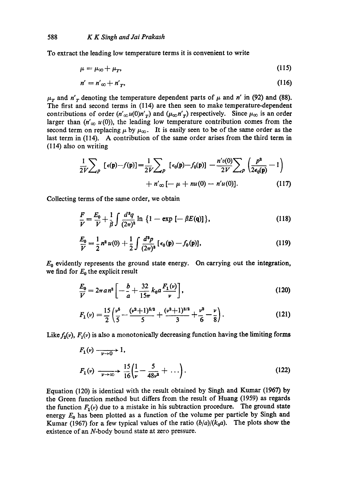To extract the leading low temperature terms it is convenient to write

$$
\mu = \mu_{\infty} + \mu_{T},\tag{115}
$$

$$
n'=n'_{\infty}+n'_{T},\qquad(116)
$$

 $\mu_{\tau}$  and  $n'_{\tau}$  denoting the temperature dependent parts of  $\mu$  and  $n'$  in (92) and (88). The first and second terms in (114) are then seen to make temperature-dependent contributions of order  $(n'_{\infty}u(0)n'_{r})$  and  $(\mu_{\infty}n'_{r})$  respectively. Since  $\mu_{\infty}$  is an order larger than  $(n'_{\infty} u(0))$ , the leading low temperature contribution comes from the second term on replacing  $\mu$  by  $\mu_{\infty}$ . It is easily seen to be of the same order as the last term in (114). A contribution of the same order arises from the third term in (I 14) also on writing

$$
\frac{1}{2V}\sum_{p} \left[ \epsilon(\mathbf{p}) - f(\mathbf{p}) \right] = \frac{1}{2V}\sum_{p} \left[ \epsilon_0(\mathbf{p}) - f_0(\mathbf{p}) \right] - \frac{n'v(0)}{2V}\sum_{p} \left( \frac{p^2}{2\epsilon_0(\mathbf{p})} - 1 \right) + n'\infty \left[ -\mu + nu(0) - n'u(0) \right]. \tag{117}
$$

Collecting terms of the same order, we obtain

$$
\frac{F}{V} = \frac{E_0}{V} + \frac{1}{\beta} \int \frac{d^3q}{(2\pi)^3} \ln \{1 - \exp \left[ -\beta E(\mathbf{q}) \right] \},\tag{118}
$$

$$
\frac{E_0}{V} = \frac{1}{2} n^2 u(0) + \frac{1}{2} \int \frac{d^3 p}{(2\pi)^3} [\epsilon_0(\mathbf{p}) - f_0(\mathbf{p})], \qquad (119)
$$

 $E_0$  evidently represents the ground state energy. On carrying out the integration, we find for  $E_0$  the explicit result

$$
\frac{E_0}{V} = 2\pi a n^2 \left[ -\frac{b}{a} + \frac{32}{15\pi} k_0 a \frac{F_1(v)}{v} \right],
$$
\n(120)

$$
F_1(\nu) = \frac{15}{2} \left( \frac{\nu^5}{5} - \frac{(\nu^2 + 1)^{5/2}}{5} + \frac{(\nu^2 + 1)^{3/2}}{3} + \frac{\nu^3}{6} - \frac{\nu}{8} \right). \tag{121}
$$

Like  $f_2(v)$ ,  $F_1(v)$  is also a monotonically decreasing function having the limiting forms

$$
F_1(v) \xrightarrow[v \to 0]{} 1,
$$
  

$$
F_1(v) \xrightarrow[v \to \infty]{} \frac{15}{16} \left( \frac{1}{v} - \frac{5}{48v^2} + \dots \right).
$$
 (122)

Equation (120) is identical with the result obtained by Singh and Kumar (1967) by the Green function method but differs from the result of Huang (1959) as regards the function  $F_1(v)$  due to a mistake in his subtraction procedure. The ground state energy  $E_0$  has been plotted as a function of the volume per particle by Singh and Kumar (1967) for a few typical values of the ratio  $(b/a)/(k_0 a)$ . The plots show the existence of an N-body bound state at zero pressure.